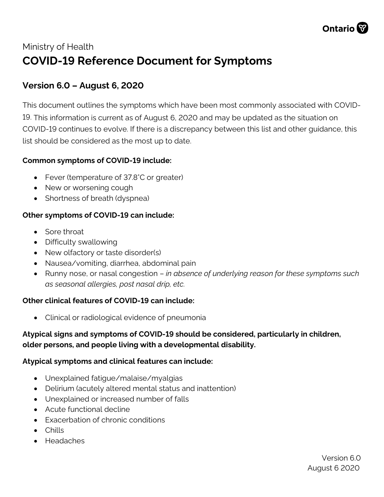

# Ministry of Health **COVID-19 Reference Document for Symptoms**

# **Version 6.0 – August 6, 2020**

This document outlines the symptoms which have been most commonly associated with COVID-19. This information is current as of August 6, 2020 and may be updated as the situation on COVID-19 continues to evolve. If there is a discrepancy between this list and other guidance, this list should be considered as the most up to date.

## **Common symptoms of COVID-19 include:**

- Fever (temperature of 37.8°C or greater)
- New or worsening cough
- Shortness of breath (dyspnea)

## **Other symptoms of COVID-19 can include:**

- Sore throat
- Difficulty swallowing
- New olfactory or taste disorder(s)
- Nausea/vomiting, diarrhea, abdominal pain
- Runny nose, or nasal congestion *in absence of underlying reason for these symptoms such as seasonal allergies, post nasal drip, etc.*

### **Other clinical features of COVID-19 can include:**

• Clinical or radiological evidence of pneumonia

## **Atypical signs and symptoms of COVID-19 should be considered, particularly in children, older persons, and people living with a developmental disability.**

### **Atypical symptoms and clinical features can include:**

- Unexplained fatigue/malaise/myalgias
- Delirium (acutely altered mental status and inattention)
- Unexplained or increased number of falls
- Acute functional decline
- Exacerbation of chronic conditions
- Chills
- Headaches